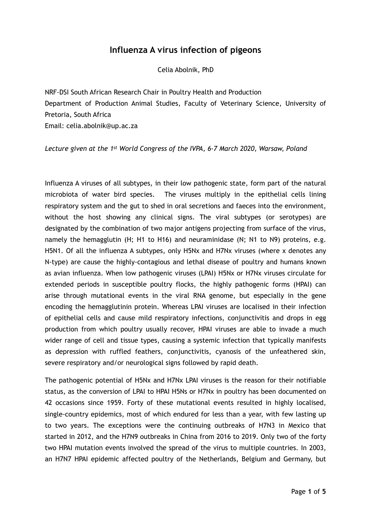## **Influenza A virus infection of pigeons**

Celia Abolnik, PhD

NRF-DSI South African Research Chair in Poultry Health and Production Department of Production Animal Studies, Faculty of Veterinary Science, University of Pretoria, South Africa Email: celia.abolnik@up.ac.za

*Lecture given at the 1st World Congress of the IVPA, 6-7 March 2020, Warsaw, Poland* 

Influenza A viruses of all subtypes, in their low pathogenic state, form part of the natural microbiota of water bird species. The viruses multiply in the epithelial cells lining respiratory system and the gut to shed in oral secretions and faeces into the environment, without the host showing any clinical signs. The viral subtypes (or serotypes) are designated by the combination of two major antigens projecting from surface of the virus, namely the hemagglutin (H; H1 to H16) and neuraminidase (N; N1 to N9) proteins, e.g. H5N1. Of all the influenza A subtypes, only H5Nx and H7Nx viruses (where x denotes any N-type) are cause the highly-contagious and lethal disease of poultry and humans known as avian influenza. When low pathogenic viruses (LPAI) H5Nx or H7Nx viruses circulate for extended periods in susceptible poultry flocks, the highly pathogenic forms (HPAI) can arise through mutational events in the viral RNA genome, but especially in the gene encoding the hemagglutinin protein. Whereas LPAI viruses are localised in their infection of epithelial cells and cause mild respiratory infections, conjunctivitis and drops in egg production from which poultry usually recover, HPAI viruses are able to invade a much wider range of cell and tissue types, causing a systemic infection that typically manifests as depression with ruffled feathers, conjunctivitis, cyanosis of the unfeathered skin, severe respiratory and/or neurological signs followed by rapid death.

The pathogenic potential of H5Nx and H7Nx LPAI viruses is the reason for their notifiable status, as the conversion of LPAI to HPAI H5Ns or H7Nx in poultry has been documented on 42 occasions since 1959. Forty of these mutational events resulted in highly localised, single-country epidemics, most of which endured for less than a year, with few lasting up to two years. The exceptions were the continuing outbreaks of H7N3 in Mexico that started in 2012, and the H7N9 outbreaks in China from 2016 to 2019. Only two of the forty two HPAI mutation events involved the spread of the virus to multiple countries. In 2003, an H7N7 HPAI epidemic affected poultry of the Netherlands, Belgium and Germany, but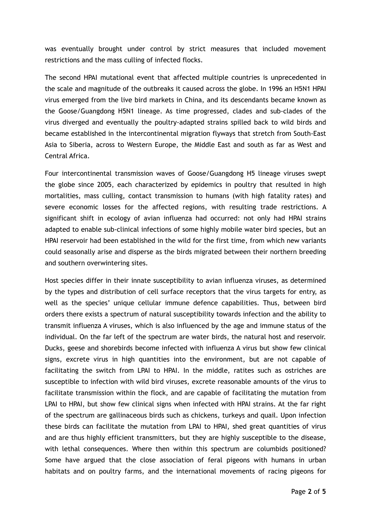was eventually brought under control by strict measures that included movement restrictions and the mass culling of infected flocks.

The second HPAI mutational event that affected multiple countries is unprecedented in the scale and magnitude of the outbreaks it caused across the globe. In 1996 an H5N1 HPAI virus emerged from the live bird markets in China, and its descendants became known as the Goose/Guangdong H5N1 lineage. As time progressed, clades and sub-clades of the virus diverged and eventually the poultry-adapted strains spilled back to wild birds and became established in the intercontinental migration flyways that stretch from South-East Asia to Siberia, across to Western Europe, the Middle East and south as far as West and Central Africa.

Four intercontinental transmission waves of Goose/Guangdong H5 lineage viruses swept the globe since 2005, each characterized by epidemics in poultry that resulted in high mortalities, mass culling, contact transmission to humans (with high fatality rates) and severe economic losses for the affected regions, with resulting trade restrictions. A significant shift in ecology of avian influenza had occurred: not only had HPAI strains adapted to enable sub-clinical infections of some highly mobile water bird species, but an HPAI reservoir had been established in the wild for the first time, from which new variants could seasonally arise and disperse as the birds migrated between their northern breeding and southern overwintering sites.

Host species differ in their innate susceptibility to avian influenza viruses, as determined by the types and distribution of cell surface receptors that the virus targets for entry, as well as the species' unique cellular immune defence capabilities. Thus, between bird orders there exists a spectrum of natural susceptibility towards infection and the ability to transmit influenza A viruses, which is also influenced by the age and immune status of the individual. On the far left of the spectrum are water birds, the natural host and reservoir. Ducks, geese and shorebirds become infected with influenza A virus but show few clinical signs, excrete virus in high quantities into the environment, but are not capable of facilitating the switch from LPAI to HPAI. In the middle, ratites such as ostriches are susceptible to infection with wild bird viruses, excrete reasonable amounts of the virus to facilitate transmission within the flock, and are capable of facilitating the mutation from LPAI to HPAI, but show few clinical signs when infected with HPAI strains. At the far right of the spectrum are gallinaceous birds such as chickens, turkeys and quail. Upon infection these birds can facilitate the mutation from LPAI to HPAI, shed great quantities of virus and are thus highly efficient transmitters, but they are highly susceptible to the disease, with lethal consequences. Where then within this spectrum are columbids positioned? Some have argued that the close association of feral pigeons with humans in urban habitats and on poultry farms, and the international movements of racing pigeons for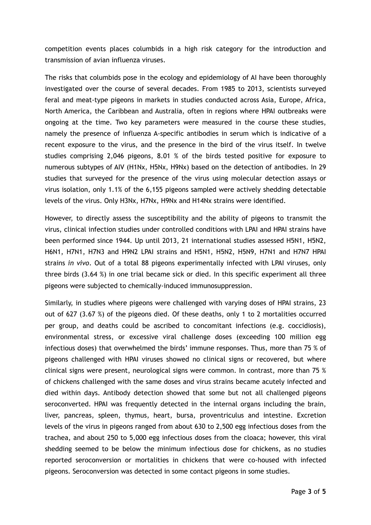competition events places columbids in a high risk category for the introduction and transmission of avian influenza viruses.

The risks that columbids pose in the ecology and epidemiology of AI have been thoroughly investigated over the course of several decades. From 1985 to 2013, scientists surveyed feral and meat-type pigeons in markets in studies conducted across Asia, Europe, Africa, North America, the Caribbean and Australia, often in regions where HPAI outbreaks were ongoing at the time. Two key parameters were measured in the course these studies, namely the presence of influenza A-specific antibodies in serum which is indicative of a recent exposure to the virus, and the presence in the bird of the virus itself. In twelve studies comprising 2,046 pigeons, 8.01 % of the birds tested positive for exposure to numerous subtypes of AIV (H1Nx, H5Nx, H9Nx) based on the detection of antibodies. In 29 studies that surveyed for the presence of the virus using molecular detection assays or virus isolation, only 1.1% of the 6,155 pigeons sampled were actively shedding detectable levels of the virus. Only H3Nx, H7Nx, H9Nx and H14Nx strains were identified.

However, to directly assess the susceptibility and the ability of pigeons to transmit the virus, clinical infection studies under controlled conditions with LPAI and HPAI strains have been performed since 1944. Up until 2013, 21 international studies assessed H5N1, H5N2, H6N1, H7N1, H7N3 and H9N2 LPAI strains and H5N1, H5N2, H5N9, H7N1 and H7N7 HPAI strains *in vivo*. Out of a total 88 pigeons experimentally infected with LPAI viruses, only three birds (3.64 %) in one trial became sick or died. In this specific experiment all three pigeons were subjected to chemically-induced immunosuppression.

Similarly, in studies where pigeons were challenged with varying doses of HPAI strains, 23 out of 627 (3.67 %) of the pigeons died. Of these deaths, only 1 to 2 mortalities occurred per group, and deaths could be ascribed to concomitant infections (e.g. coccidiosis), environmental stress, or excessive viral challenge doses (exceeding 100 million egg infectious doses) that overwhelmed the birds' immune responses. Thus, more than 75 % of pigeons challenged with HPAI viruses showed no clinical signs or recovered, but where clinical signs were present, neurological signs were common. In contrast, more than 75 % of chickens challenged with the same doses and virus strains became acutely infected and died within days. Antibody detection showed that some but not all challenged pigeons seroconverted. HPAI was frequently detected in the internal organs including the brain, liver, pancreas, spleen, thymus, heart, bursa, proventriculus and intestine. Excretion levels of the virus in pigeons ranged from about 630 to 2,500 egg infectious doses from the trachea, and about 250 to 5,000 egg infectious doses from the cloaca; however, this viral shedding seemed to be below the minimum infectious dose for chickens, as no studies reported seroconversion or mortalities in chickens that were co-housed with infected pigeons. Seroconversion was detected in some contact pigeons in some studies.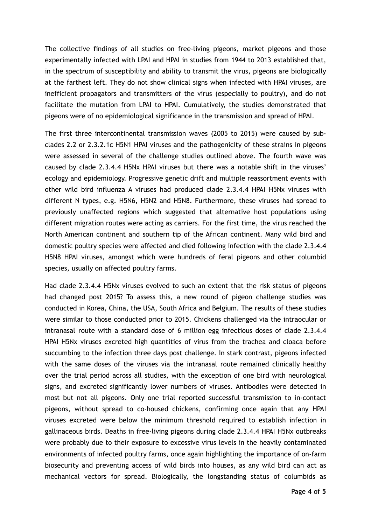The collective findings of all studies on free-living pigeons, market pigeons and those experimentally infected with LPAI and HPAI in studies from 1944 to 2013 established that, in the spectrum of susceptibility and ability to transmit the virus, pigeons are biologically at the farthest left. They do not show clinical signs when infected with HPAI viruses, are inefficient propagators and transmitters of the virus (especially to poultry), and do not facilitate the mutation from LPAI to HPAI. Cumulatively, the studies demonstrated that pigeons were of no epidemiological significance in the transmission and spread of HPAI.

The first three intercontinental transmission waves (2005 to 2015) were caused by subclades 2.2 or 2.3.2.1c H5N1 HPAI viruses and the pathogenicity of these strains in pigeons were assessed in several of the challenge studies outlined above. The fourth wave was caused by clade 2.3.4.4 H5Nx HPAI viruses but there was a notable shift in the viruses' ecology and epidemiology. Progressive genetic drift and multiple reassortment events with other wild bird influenza A viruses had produced clade 2.3.4.4 HPAI H5Nx viruses with different N types, e.g. H5N6, H5N2 and H5N8. Furthermore, these viruses had spread to previously unaffected regions which suggested that alternative host populations using different migration routes were acting as carriers. For the first time, the virus reached the North American continent and southern tip of the African continent. Many wild bird and domestic poultry species were affected and died following infection with the clade 2.3.4.4 H5N8 HPAI viruses, amongst which were hundreds of feral pigeons and other columbid species, usually on affected poultry farms.

Had clade 2.3.4.4 H5Nx viruses evolved to such an extent that the risk status of pigeons had changed post 2015? To assess this, a new round of pigeon challenge studies was conducted in Korea, China, the USA, South Africa and Belgium. The results of these studies were similar to those conducted prior to 2015. Chickens challenged via the intraocular or intranasal route with a standard dose of 6 million egg infectious doses of clade 2.3.4.4 HPAI H5Nx viruses excreted high quantities of virus from the trachea and cloaca before succumbing to the infection three days post challenge. In stark contrast, pigeons infected with the same doses of the viruses via the intranasal route remained clinically healthy over the trial period across all studies, with the exception of one bird with neurological signs, and excreted significantly lower numbers of viruses. Antibodies were detected in most but not all pigeons. Only one trial reported successful transmission to in-contact pigeons, without spread to co-housed chickens, confirming once again that any HPAI viruses excreted were below the minimum threshold required to establish infection in gallinaceous birds. Deaths in free-living pigeons during clade 2.3.4.4 HPAI H5Nx outbreaks were probably due to their exposure to excessive virus levels in the heavily contaminated environments of infected poultry farms, once again highlighting the importance of on-farm biosecurity and preventing access of wild birds into houses, as any wild bird can act as mechanical vectors for spread. Biologically, the longstanding status of columbids as